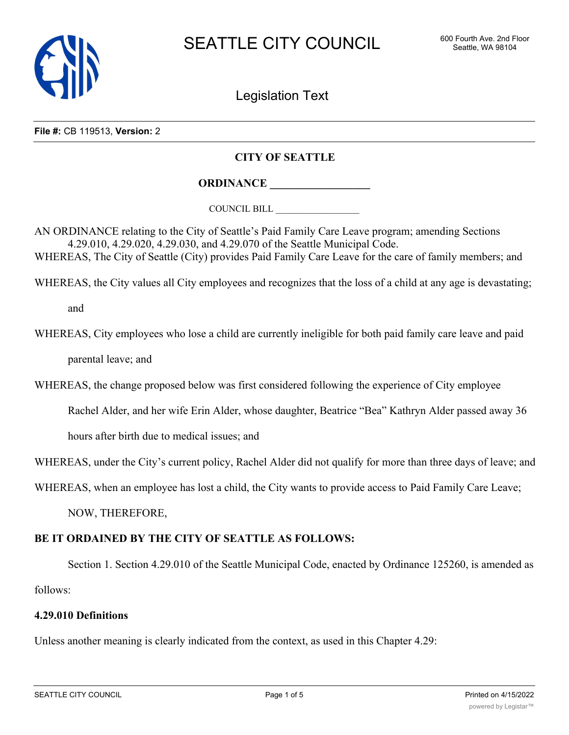

Legislation Text

**File #:** CB 119513, **Version:** 2

# **CITY OF SEATTLE**

**ORDINANCE \_\_\_\_\_\_\_\_\_\_\_\_\_\_\_\_\_\_**

COUNCIL BILL \_\_\_\_\_\_\_\_\_\_\_\_\_\_\_\_\_\_

AN ORDINANCE relating to the City of Seattle's Paid Family Care Leave program; amending Sections 4.29.010, 4.29.020, 4.29.030, and 4.29.070 of the Seattle Municipal Code. WHEREAS, The City of Seattle (City) provides Paid Family Care Leave for the care of family members; and

WHEREAS, the City values all City employees and recognizes that the loss of a child at any age is devastating;

and

WHEREAS, City employees who lose a child are currently ineligible for both paid family care leave and paid parental leave; and

WHEREAS, the change proposed below was first considered following the experience of City employee

Rachel Alder, and her wife Erin Alder, whose daughter, Beatrice "Bea" Kathryn Alder passed away 36

hours after birth due to medical issues; and

WHEREAS, under the City's current policy, Rachel Alder did not qualify for more than three days of leave; and

WHEREAS, when an employee has lost a child, the City wants to provide access to Paid Family Care Leave;

NOW, THEREFORE,

# **BE IT ORDAINED BY THE CITY OF SEATTLE AS FOLLOWS:**

Section 1. Section 4.29.010 of the Seattle Municipal Code, enacted by Ordinance 125260, is amended as follows:

### **4.29.010 Definitions**

Unless another meaning is clearly indicated from the context, as used in this Chapter 4.29: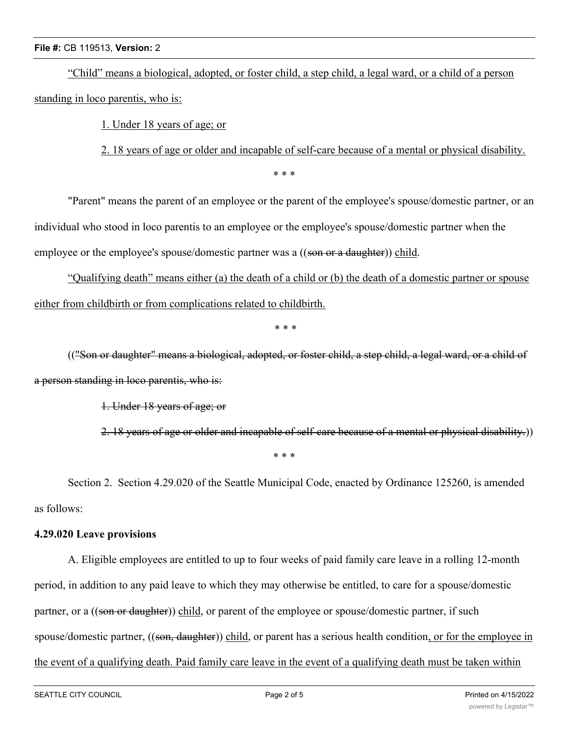### **File #:** CB 119513, **Version:** 2

"Child" means a biological, adopted, or foster child, a step child, a legal ward, or a child of a person standing in loco parentis, who is:

1. Under 18 years of age; or

2. 18 years of age or older and incapable of self-care because of a mental or physical disability.

\* \* \*

"Parent" means the parent of an employee or the parent of the employee's spouse/domestic partner, or an individual who stood in loco parentis to an employee or the employee's spouse/domestic partner when the employee or the employee's spouse/domestic partner was a ((son or a daughter)) child.

"Qualifying death" means either (a) the death of a child or (b) the death of a domestic partner or spouse either from childbirth or from complications related to childbirth.

\* \* \*

(("Son or daughter" means a biological, adopted, or foster child, a step child, a legal ward, or a child of a person standing in loco parentis, who is:

1. Under 18 years of age; or

2. 18 years of age or older and incapable of self-care because of a mental or physical disability.))

\* \* \*

Section 2. Section 4.29.020 of the Seattle Municipal Code, enacted by Ordinance 125260, is amended as follows:

# **4.29.020 Leave provisions**

A. Eligible employees are entitled to up to four weeks of paid family care leave in a rolling 12-month period, in addition to any paid leave to which they may otherwise be entitled, to care for a spouse/domestic partner, or a ((son or daughter)) child, or parent of the employee or spouse/domestic partner, if such spouse/domestic partner, ((son, daughter)) child, or parent has a serious health condition, or for the employee in the event of a qualifying death. Paid family care leave in the event of a qualifying death must be taken within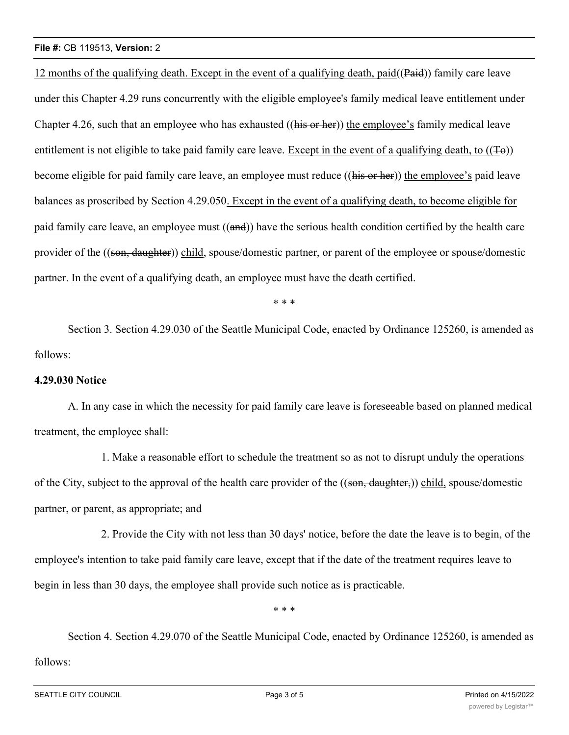### **File #:** CB 119513, **Version:** 2

12 months of the qualifying death. Except in the event of a qualifying death, paid( $(Pa$ id)) family care leave under this Chapter 4.29 runs concurrently with the eligible employee's family medical leave entitlement under Chapter 4.26, such that an employee who has exhausted (( $\overrightarrow{His\ or\ her}$ )) the employee's family medical leave entitlement is not eligible to take paid family care leave. Except in the event of a qualifying death, to  $((\pm \epsilon))$ become eligible for paid family care leave, an employee must reduce ((his or her)) the employee's paid leave balances as proscribed by Section 4.29.050. Except in the event of a qualifying death, to become eligible for paid family care leave, an employee must ((and)) have the serious health condition certified by the health care provider of the ((son, daughter)) child, spouse/domestic partner, or parent of the employee or spouse/domestic partner. In the event of a qualifying death, an employee must have the death certified.

\* \* \*

Section 3. Section 4.29.030 of the Seattle Municipal Code, enacted by Ordinance 125260, is amended as follows:

### **4.29.030 Notice**

A. In any case in which the necessity for paid family care leave is foreseeable based on planned medical treatment, the employee shall:

1. Make a reasonable effort to schedule the treatment so as not to disrupt unduly the operations of the City, subject to the approval of the health care provider of the ((son, daughter,)) child, spouse/domestic partner, or parent, as appropriate; and

2. Provide the City with not less than 30 days' notice, before the date the leave is to begin, of the employee's intention to take paid family care leave, except that if the date of the treatment requires leave to begin in less than 30 days, the employee shall provide such notice as is practicable.

\* \* \*

Section 4. Section 4.29.070 of the Seattle Municipal Code, enacted by Ordinance 125260, is amended as follows: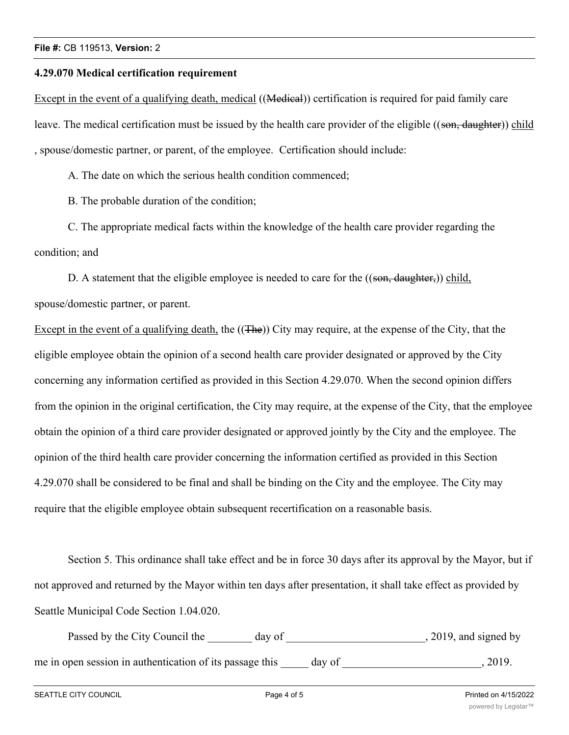#### **4.29.070 Medical certification requirement**

Except in the event of a qualifying death, medical ((Medical)) certification is required for paid family care leave. The medical certification must be issued by the health care provider of the eligible ((son, daughter)) child , spouse/domestic partner, or parent, of the employee. Certification should include:

A. The date on which the serious health condition commenced;

B. The probable duration of the condition;

C. The appropriate medical facts within the knowledge of the health care provider regarding the condition; and

D. A statement that the eligible employee is needed to care for the  $((\text{son}, \text{ daughter}))$  child, spouse/domestic partner, or parent.

Except in the event of a qualifying death, the ((The)) City may require, at the expense of the City, that the eligible employee obtain the opinion of a second health care provider designated or approved by the City concerning any information certified as provided in this Section 4.29.070. When the second opinion differs from the opinion in the original certification, the City may require, at the expense of the City, that the employee obtain the opinion of a third care provider designated or approved jointly by the City and the employee. The opinion of the third health care provider concerning the information certified as provided in this Section 4.29.070 shall be considered to be final and shall be binding on the City and the employee. The City may require that the eligible employee obtain subsequent recertification on a reasonable basis.

Section 5. This ordinance shall take effect and be in force 30 days after its approval by the Mayor, but if not approved and returned by the Mayor within ten days after presentation, it shall take effect as provided by Seattle Municipal Code Section 1.04.020.

Passed by the City Council the \_\_\_\_\_\_\_ day of \_\_\_\_\_\_\_\_\_\_\_\_\_\_\_\_\_\_\_\_\_\_\_\_, 2019, and signed by me in open session in authentication of its passage this \_\_\_\_\_ day of \_\_\_\_\_\_\_\_\_\_\_\_\_\_\_\_\_\_\_\_\_, 2019.